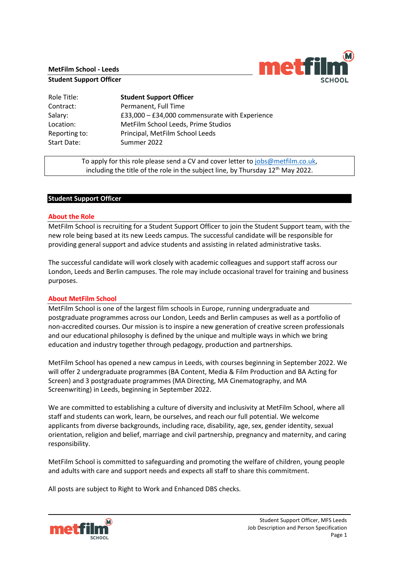### **MetFilm School - Leeds**

#### **Student Support Officer**



Role Title: **Student Support Officer** Contract: Permanent, Full Time Salary: **E33,000 – £34,000** commensurate with Experience Location: MetFilm School Leeds, Prime Studios Reporting to: Principal, MetFilm School Leeds Start Date: Summer 2022

> To apply for this role please send a CV and cover letter to [jobs@metfilm.co.uk,](mailto:jobs@metfilm.co.uk) including the title of the role in the subject line, by Thursday  $12<sup>th</sup>$  May 2022.

### **Student Support Officer**

### **About the Role**

MetFilm School is recruiting for a Student Support Officer to join the Student Support team, with the new role being based at its new Leeds campus. The successful candidate will be responsible for providing general support and advice students and assisting in related administrative tasks.

The successful candidate will work closely with academic colleagues and support staff across our London, Leeds and Berlin campuses. The role may include occasional travel for training and business purposes.

### **About MetFilm School**

MetFilm School is one of the largest film schools in Europe, running undergraduate and postgraduate programmes across our London, Leeds and Berlin campuses as well as a portfolio of non-accredited courses. Our mission is to inspire a new generation of creative screen professionals and our educational philosophy is defined by the unique and multiple ways in which we bring education and industry together through pedagogy, production and partnerships.

MetFilm School has opened a new campus in Leeds, with courses beginning in September 2022. We will offer 2 undergraduate programmes (BA Content, Media & Film Production and BA Acting for Screen) and 3 postgraduate programmes (MA Directing, MA Cinematography, and MA Screenwriting) in Leeds, beginning in September 2022.

We are committed to establishing a culture of diversity and inclusivity at MetFilm School, where all staff and students can work, learn, be ourselves, and reach our full potential. We welcome applicants from diverse backgrounds, including race, disability, age, sex, gender identity, sexual orientation, religion and belief, marriage and civil partnership, pregnancy and maternity, and caring responsibility.

MetFilm School is committed to safeguarding and promoting the welfare of children, young people and adults with care and support needs and expects all staff to share this commitment.

All posts are subject to Right to Work and Enhanced DBS checks.

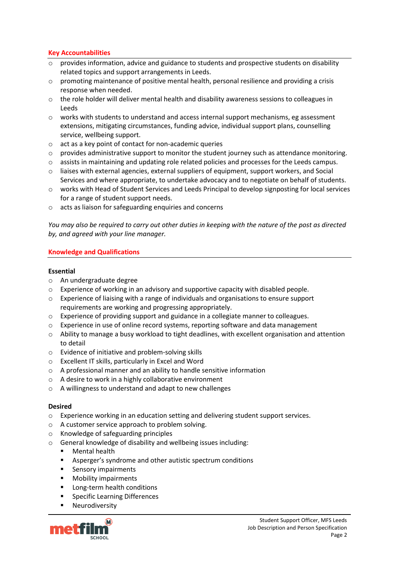## **Key Accountabilities**

- $\circ$  provides information, advice and guidance to students and prospective students on disability related topics and support arrangements in Leeds.
- o promoting maintenance of positive mental health, personal resilience and providing a crisis response when needed.
- $\circ$  the role holder will deliver mental health and disability awareness sessions to colleagues in Leeds
- $\circ$  works with students to understand and access internal support mechanisms, eg assessment extensions, mitigating circumstances, funding advice, individual support plans, counselling service, wellbeing support.
- o act as a key point of contact for non-academic queries
- o provides administrative support to monitor the student journey such as attendance monitoring.
- o assists in maintaining and updating role related policies and processes for the Leeds campus.
- o liaises with external agencies, external suppliers of equipment, support workers, and Social Services and where appropriate, to undertake advocacy and to negotiate on behalf of students.
- o works with Head of Student Services and Leeds Principal to develop signposting for local services for a range of student support needs.
- o acts as liaison for safeguarding enquiries and concerns

*You may also be required to carry out other duties in keeping with the nature of the post as directed by, and agreed with your line manager.* 

## **Knowledge and Qualifications**

## **Essential**

- o An undergraduate degree
- o Experience of working in an advisory and supportive capacity with disabled people.
- $\circ$  Experience of liaising with a range of individuals and organisations to ensure support requirements are working and progressing appropriately.
- o Experience of providing support and guidance in a collegiate manner to colleagues.
- o Experience in use of online record systems, reporting software and data management
- o Ability to manage a busy workload to tight deadlines, with excellent organisation and attention to detail
- o Evidence of initiative and problem-solving skills
- o Excellent IT skills, particularly in Excel and Word
- o A professional manner and an ability to handle sensitive information
- o A desire to work in a highly collaborative environment
- o A willingness to understand and adapt to new challenges

### **Desired**

- $\circ$  Experience working in an education setting and delivering student support services.
- o A customer service approach to problem solving.
- o Knowledge of safeguarding principles
- o General knowledge of disability and wellbeing issues including:
	- **Mental health**
	- Asperger's syndrome and other autistic spectrum conditions
	- Sensory impairments
	- Mobility impairments
	- Long-term health conditions
	- Specific Learning Differences
	- Neurodiversity